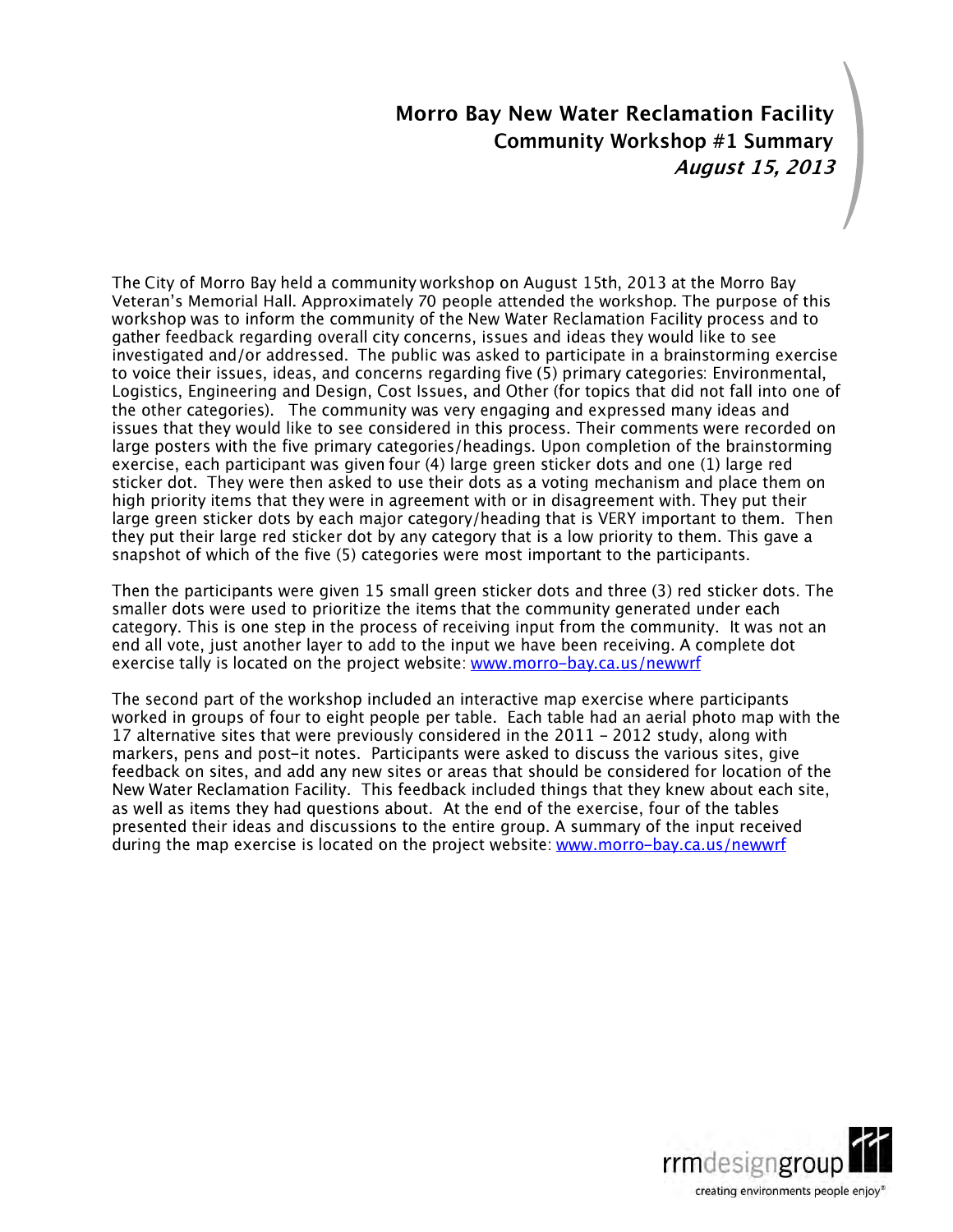## **Morro Bay New Water Reclamation Facility Community Workshop #1 Summary August 15, 2013**

The City of Morro Bay held a community workshop on August 15th, 2013 at the Morro Bay Veteran's Memorial Hall. Approximately 70 people attended the workshop. The purpose of this workshop was to inform the community of the New Water Reclamation Facility process and to gather feedback regarding overall city concerns, issues and ideas they would like to see investigated and/or addressed. The public was asked to participate in a brainstorming exercise to voice their issues, ideas, and concerns regarding five (5) primary categories: Environmental, Logistics, Engineering and Design, Cost Issues, and Other (for topics that did not fall into one of the other categories). The community was very engaging and expressed many ideas and issues that they would like to see considered in this process. Their comments were recorded on large posters with the five primary categories/headings. Upon completion of the brainstorming exercise, each participant was given four (4) large green sticker dots and one (1) large red sticker dot. They were then asked to use their dots as a voting mechanism and place them on high priority items that they were in agreement with or in disagreement with. They put their large green sticker dots by each major category/heading that is VERY important to them. Then they put their large red sticker dot by any category that is a low priority to them. This gave a snapshot of which of the five (5) categories were most important to the participants.

Then the participants were given 15 small green sticker dots and three (3) red sticker dots. The smaller dots were used to prioritize the items that the community generated under each category. This is one step in the process of receiving input from the community. It was not an end all vote, just another layer to add to the input we have been receiving. A complete dot exercise tally is located on the project website: www.morro-bay.ca.us/newwrf

The second part of the workshop included an interactive map exercise where participants worked in groups of four to eight people per table. Each table had an aerial photo map with the 17 alternative sites that were previously considered in the 2011 - 2012 study, along with markers, pens and post-it notes. Participants were asked to discuss the various sites, give feedback on sites, and add any new sites or areas that should be considered for location of the New Water Reclamation Facility. This feedback included things that they knew about each site, as well as items they had questions about. At the end of the exercise, four of the tables presented their ideas and discussions to the entire group. A summary of the input received during the map exercise is located on the project website: www.morro-bay.ca.us/newwrf

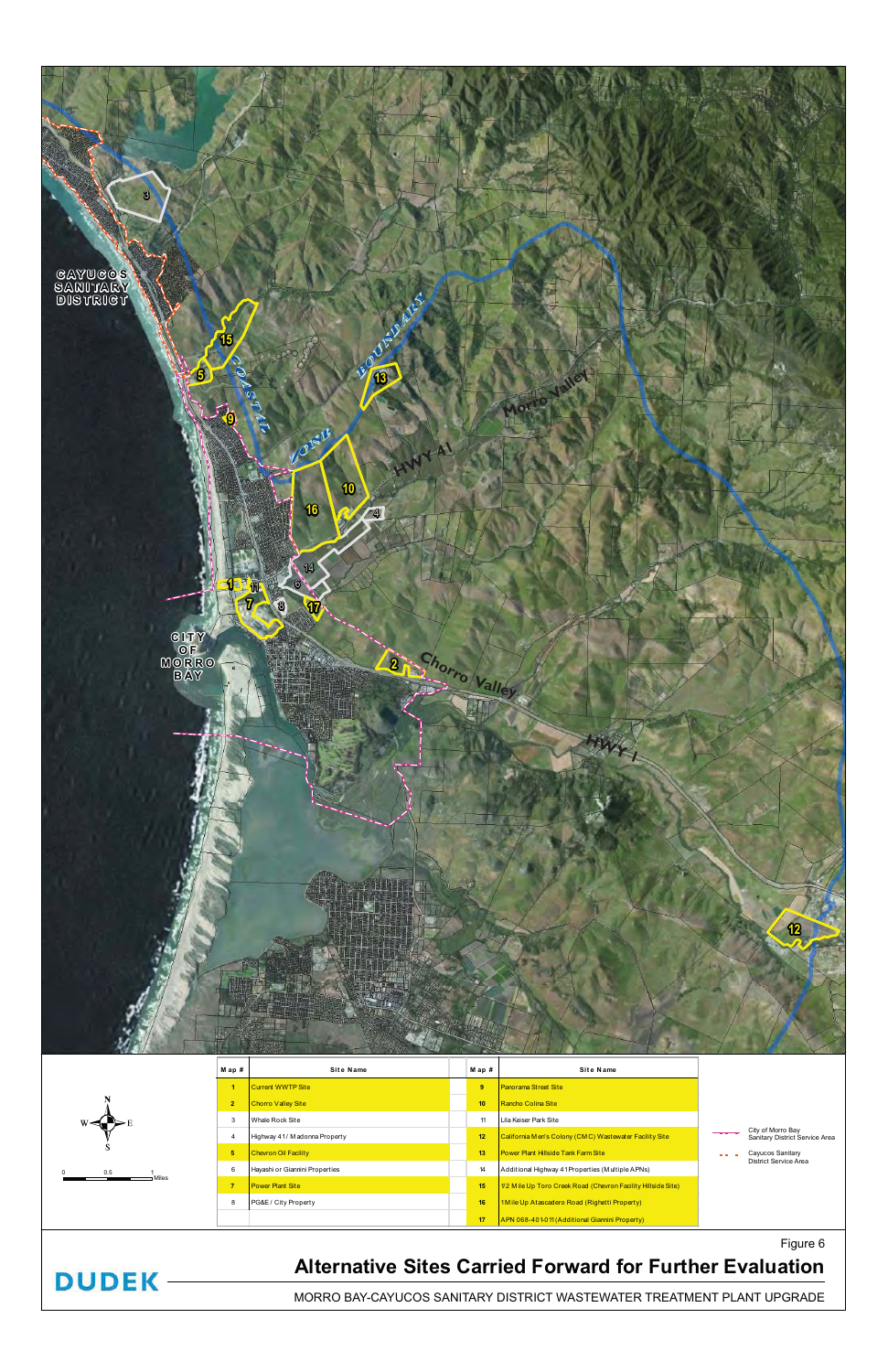

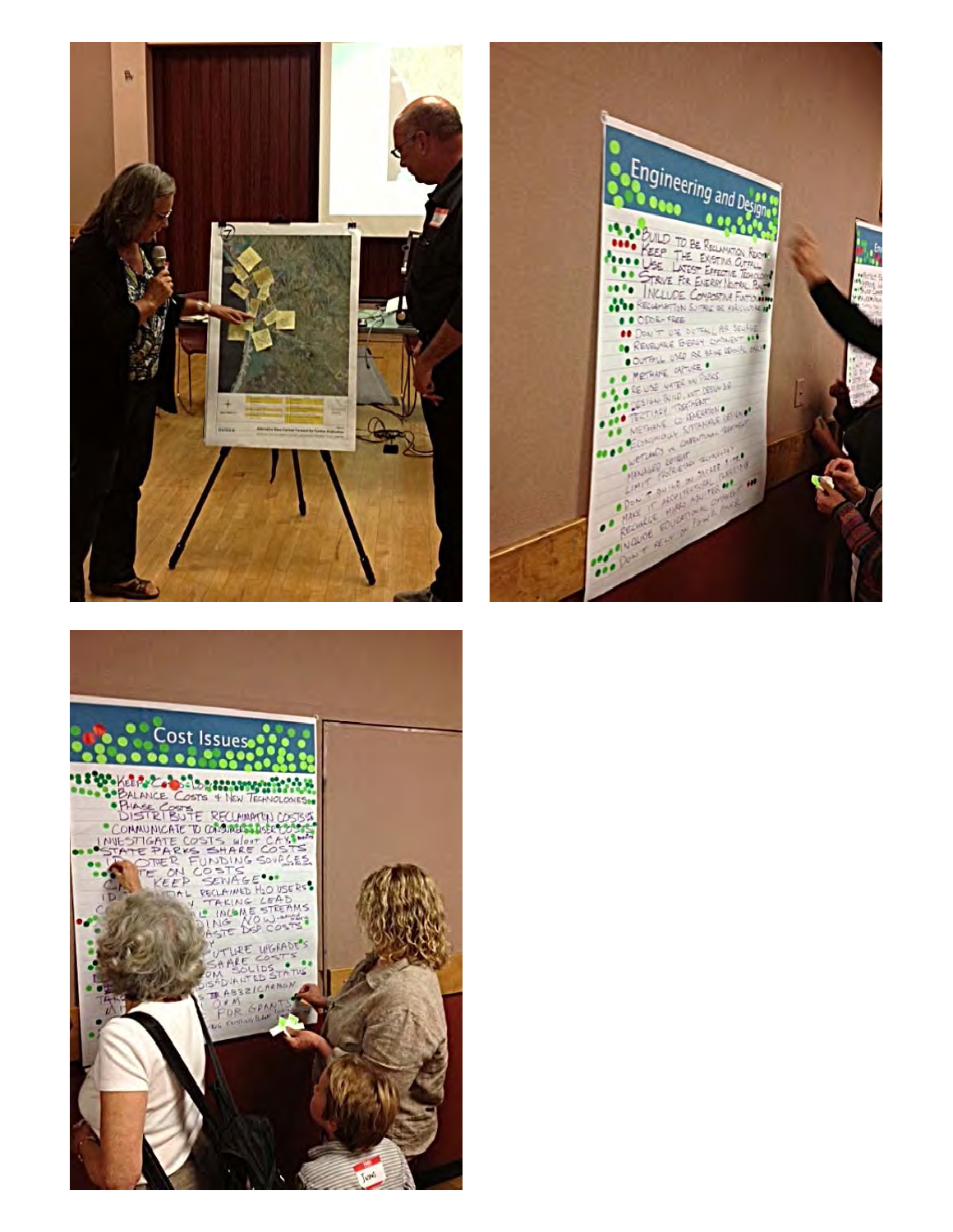